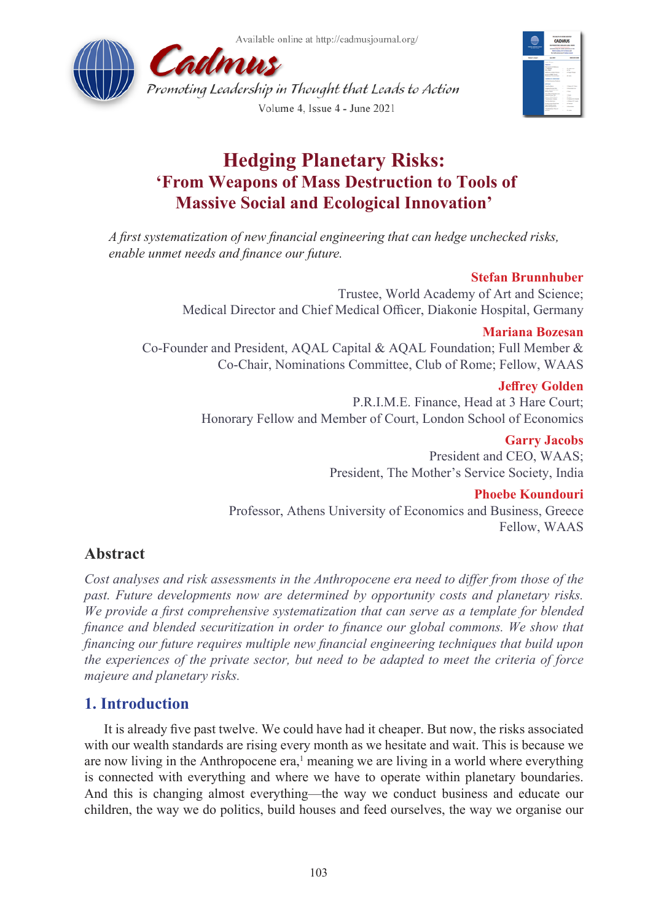Available online at http://cadmusjournal.org/





# **Hedging Planetary Risks: 'From Weapons of Mass Destruction to Tools of Massive Social and Ecological Innovation'**

*A first systematization of new financial engineering that can hedge unchecked risks, enable unmet needs and finance our future.*

### **Stefan Brunnhuber**

Trustee, World Academy of Art and Science; Medical Director and Chief Medical Officer, Diakonie Hospital, Germany

#### **Mariana Bozesan**

Co-Founder and President, AQAL Capital & AQAL Foundation; Full Member & Co-Chair, Nominations Committee, Club of Rome; Fellow, WAAS

#### **Jeffrey Golden**

P.R.I.M.E. Finance, Head at 3 Hare Court; Honorary Fellow and Member of Court, London School of Economics

#### **Garry Jacobs**

President and CEO, WAAS; President, The Mother's Service Society, India

### **Phoebe Koundouri**

Professor, Athens University of Economics and Business, Greece Fellow, WAAS

# **Abstract**

*Cost analyses and risk assessments in the Anthropocene era need to differ from those of the past. Future developments now are determined by opportunity costs and planetary risks. We provide a first comprehensive systematization that can serve as a template for blended finance and blended securitization in order to finance our global commons. We show that financing our future requires multiple new financial engineering techniques that build upon the experiences of the private sector, but need to be adapted to meet the criteria of force majeure and planetary risks.*

# **1. Introduction**

It is already five past twelve. We could have had it cheaper. But now, the risks associated with our wealth standards are rising every month as we hesitate and wait. This is because we are now living in the Anthropocene  $era$ ,<sup>[1](#page-10-0)</sup> meaning we are living in a world where everything is connected with everything and where we have to operate within planetary boundaries. And this is changing almost everything—the way we conduct business and educate our children, the way we do politics, build houses and feed ourselves, the way we organise our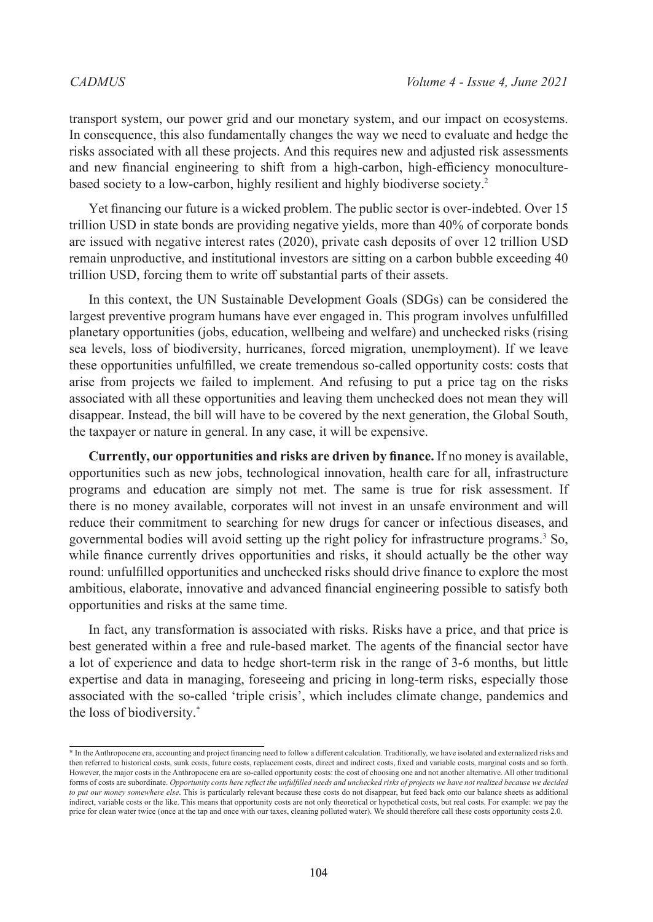transport system, our power grid and our monetary system, and our impact on ecosystems. In consequence, this also fundamentally changes the way we need to evaluate and hedge the risks associated with all these projects. And this requires new and adjusted risk assessments and new financial engineering to shift from a high-carbon, high-efficiency monoculturebased society to a low-carbon, highly resilient and highly biodiverse society.[2](#page-10-1)

Yet financing our future is a wicked problem. The public sector is over-indebted. Over 15 trillion USD in state bonds are providing negative yields, more than 40% of corporate bonds are issued with negative interest rates (2020), private cash deposits of over 12 trillion USD remain unproductive, and institutional investors are sitting on a carbon bubble exceeding 40 trillion USD, forcing them to write off substantial parts of their assets.

In this context, the UN Sustainable Development Goals (SDGs) can be considered the largest preventive program humans have ever engaged in. This program involves unfulfilled planetary opportunities (jobs, education, wellbeing and welfare) and unchecked risks (rising sea levels, loss of biodiversity, hurricanes, forced migration, unemployment). If we leave these opportunities unfulfilled, we create tremendous so-called opportunity costs: costs that arise from projects we failed to implement. And refusing to put a price tag on the risks associated with all these opportunities and leaving them unchecked does not mean they will disappear. Instead, the bill will have to be covered by the next generation, the Global South, the taxpayer or nature in general. In any case, it will be expensive.

**Currently, our opportunities and risks are driven by finance.** If no money is available, opportunities such as new jobs, technological innovation, health care for all, infrastructure programs and education are simply not met. The same is true for risk assessment. If there is no money available, corporates will not invest in an unsafe environment and will reduce their commitment to searching for new drugs for cancer or infectious diseases, and governmental bodies will avoid setting up the right policy for infrastructure programs.[3](#page-11-0) So, while finance currently drives opportunities and risks, it should actually be the other way round: unfulfilled opportunities and unchecked risks should drive finance to explore the most ambitious, elaborate, innovative and advanced financial engineering possible to satisfy both opportunities and risks at the same time.

In fact, any transformation is associated with risks. Risks have a price, and that price is best generated within a free and rule-based market. The agents of the financial sector have a lot of experience and data to hedge short-term risk in the range of 3-6 months, but little expertise and data in managing, foreseeing and pricing in long-term risks, especially those associated with the so-called 'triple crisis', which includes climate change, pandemics and the loss of biodiversity.\*

<sup>\*</sup> In the Anthropocene era, accounting and project financing need to follow a different calculation. Traditionally, we have isolated and externalized risks and then referred to historical costs, sunk costs, future costs, replacement costs, direct and indirect costs, fixed and variable costs, marginal costs and so forth. However, the major costs in the Anthropocene era are so-called opportunity costs: the cost of choosing one and not another alternative. All other traditional forms of costs are subordinate. *Opportunity costs here reflect the unfulfilled needs and unchecked risks of projects we have not realized because we decided to put our money somewhere else*. This is particularly relevant because these costs do not disappear, but feed back onto our balance sheets as additional indirect, variable costs or the like. This means that opportunity costs are not only theoretical or hypothetical costs, but real costs. For example: we pay the price for clean water twice (once at the tap and once with our taxes, cleaning polluted water). We should therefore call these costs opportunity costs 2.0.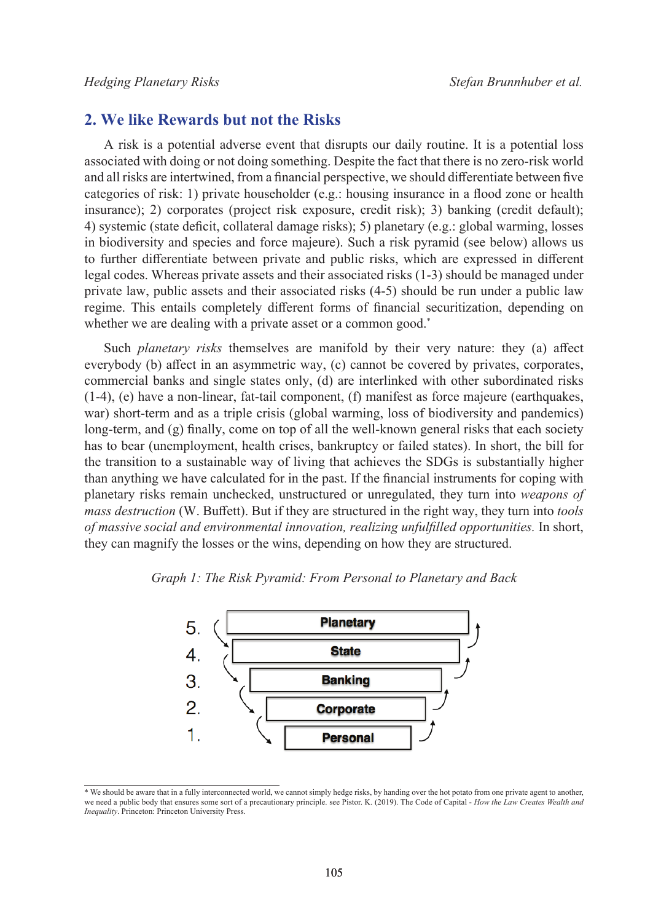# **2. We like Rewards but not the Risks**

A risk is a potential adverse event that disrupts our daily routine. It is a potential loss associated with doing or not doing something. Despite the fact that there is no zero-risk world and all risks are intertwined, from a financial perspective, we should differentiate between five categories of risk: 1) private householder (e.g.: housing insurance in a flood zone or health insurance); 2) corporates (project risk exposure, credit risk); 3) banking (credit default); 4) systemic (state deficit, collateral damage risks); 5) planetary (e.g.: global warming, losses in biodiversity and species and force majeure). Such a risk pyramid (see below) allows us to further differentiate between private and public risks, which are expressed in different legal codes. Whereas private assets and their associated risks (1-3) should be managed under private law, public assets and their associated risks (4-5) should be run under a public law regime. This entails completely different forms of financial securitization, depending on whether we are dealing with a private asset or a common good.<sup>\*</sup>

Such *planetary risks* themselves are manifold by their very nature: they (a) affect everybody (b) affect in an asymmetric way, (c) cannot be covered by privates, corporates, commercial banks and single states only, (d) are interlinked with other subordinated risks (1-4), (e) have a non-linear, fat-tail component, (f) manifest as force majeure (earthquakes, war) short-term and as a triple crisis (global warming, loss of biodiversity and pandemics) long-term, and (g) finally, come on top of all the well-known general risks that each society has to bear (unemployment, health crises, bankruptcy or failed states). In short, the bill for the transition to a sustainable way of living that achieves the SDGs is substantially higher than anything we have calculated for in the past. If the financial instruments for coping with planetary risks remain unchecked, unstructured or unregulated, they turn into *weapons of mass destruction* (W. Buffett). But if they are structured in the right way, they turn into *tools of massive social and environmental innovation, realizing unfulfilled opportunities.* In short, they can magnify the losses or the wins, depending on how they are structured.





<sup>\*</sup> We should be aware that in a fully interconnected world, we cannot simply hedge risks, by handing over the hot potato from one private agent to another, we need a public body that ensures some sort of a precautionary principle. see Pistor. K. (2019). The Code of Capital - *How the Law Creates Wealth and Inequality*. Princeton: Princeton University Press.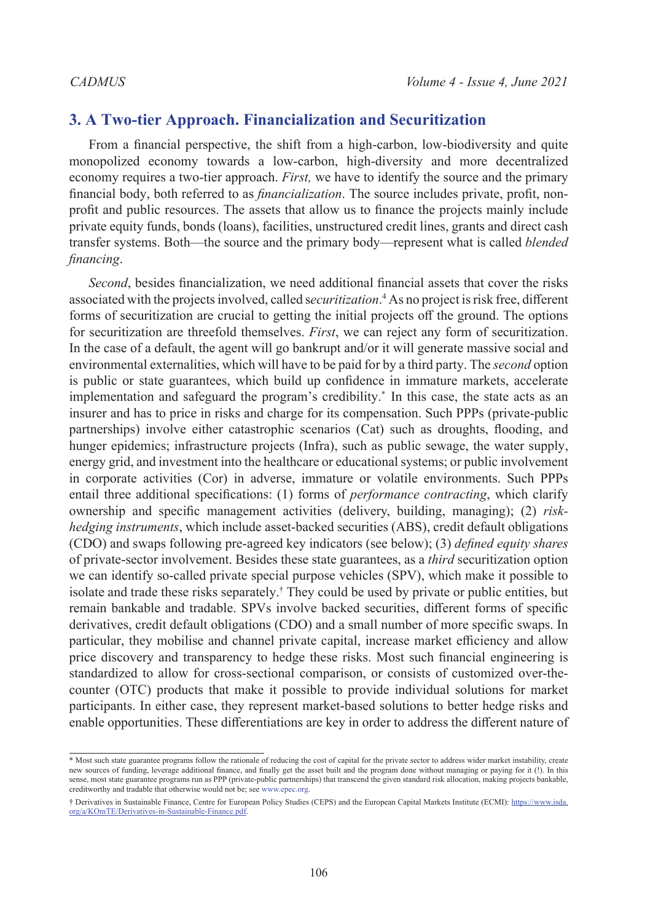# **3. A Two-tier Approach. Financialization and Securitization**

From a financial perspective, the shift from a high-carbon, low-biodiversity and quite monopolized economy towards a low-carbon, high-diversity and more decentralized economy requires a two-tier approach. *First,* we have to identify the source and the primary financial body, both referred to as *financialization*. The source includes private, profit, nonprofit and public resources. The assets that allow us to finance the projects mainly include private equity funds, bonds (loans), facilities, unstructured credit lines, grants and direct cash transfer systems. Both—the source and the primary body—represent what is called *blended financing*.

*Second*, besides financialization, we need additional financial assets that cover the risks associated with the projects involved, called s*ecuritization*. [4](#page-11-1) As no project is risk free, different forms of securitization are crucial to getting the initial projects off the ground. The options for securitization are threefold themselves. *First*, we can reject any form of securitization. In the case of a default, the agent will go bankrupt and/or it will generate massive social and environmental externalities, which will have to be paid for by a third party. The *second* option is public or state guarantees, which build up confidence in immature markets, accelerate implementation and safeguard the program's credibility.\* In this case, the state acts as an insurer and has to price in risks and charge for its compensation. Such PPPs (private-public partnerships) involve either catastrophic scenarios (Cat) such as droughts, flooding, and hunger epidemics; infrastructure projects (Infra), such as public sewage, the water supply, energy grid, and investment into the healthcare or educational systems; or public involvement in corporate activities (Cor) in adverse, immature or volatile environments. Such PPPs entail three additional specifications: (1) forms of *performance contracting*, which clarify ownership and specific management activities (delivery, building, managing); (2) *riskhedging instruments*, which include asset-backed securities (ABS), credit default obligations (CDO) and swaps following pre-agreed key indicators (see below); (3) *defined equity shares* of private-sector involvement. Besides these state guarantees, as a *third* securitization option we can identify so-called private special purpose vehicles (SPV), which make it possible to isolate and trade these risks separately.† They could be used by private or public entities, but remain bankable and tradable. SPVs involve backed securities, different forms of specific derivatives, credit default obligations (CDO) and a small number of more specific swaps. In particular, they mobilise and channel private capital, increase market efficiency and allow price discovery and transparency to hedge these risks. Most such financial engineering is standardized to allow for cross-sectional comparison, or consists of customized over-thecounter (OTC) products that make it possible to provide individual solutions for market participants. In either case, they represent market-based solutions to better hedge risks and enable opportunities. These differentiations are key in order to address the different nature of

<sup>\*</sup> Most such state guarantee programs follow the rationale of reducing the cost of capital for the private sector to address wider market instability, create new sources of funding, leverage additional finance, and finally get the asset built and the program done without managing or paying for it (!). In this sense, most state guarantee programs run as PPP (private-public partnerships) that transcend the given standard risk allocation, making projects bankable, creditworthy and tradable that otherwise would not be; see [www.epec.org](http://www.epec.org).

<sup>†</sup> Derivatives in Sustainable Finance, Centre for European Policy Studies (CEPS) and the European Capital Markets Institute (ECMI): [https://www.isda.](https://www.isda.org/a/KOmTE/Derivatives-in-Sustainable-Finance.pdf) [org/a/KOmTE/Derivatives-in-Sustainable-Finance.pdf](https://www.isda.org/a/KOmTE/Derivatives-in-Sustainable-Finance.pdf).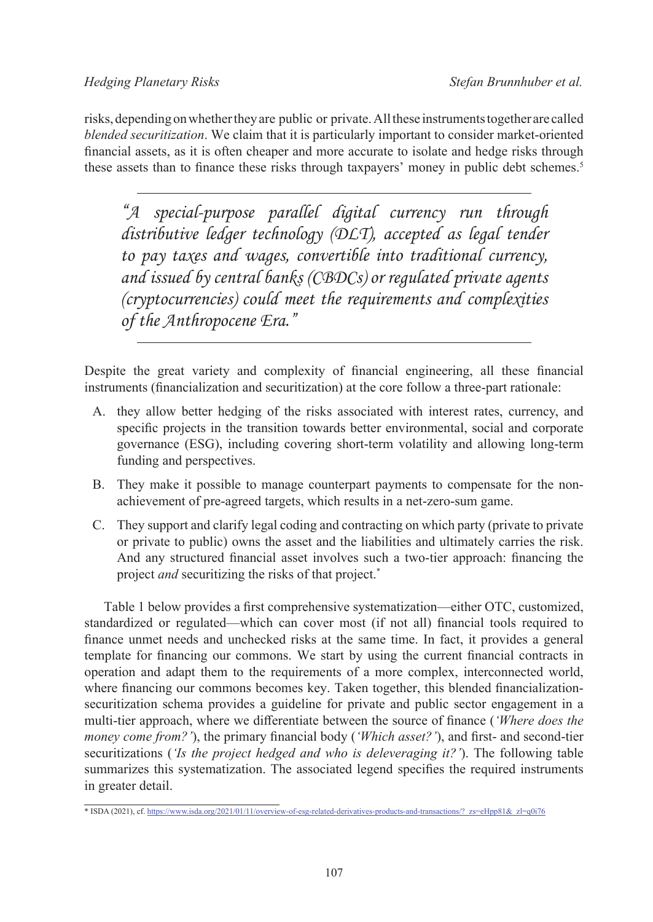risks, depending on whether they are public or private. All these instruments together are called *blended securitization*. We claim that it is particularly important to consider market-oriented financial assets, as it is often cheaper and more accurate to isolate and hedge risks through these assets than to finance these risks through taxpayers' money in public debt schemes.<sup>[5](#page-11-2)</sup>

*"A special-purpose parallel digital currency run through distributive ledger technology (DLT), accepted as legal tender to pay taxes and wages, convertible into traditional currency, and issued by central banks (CBDCs) or regulated private agents (cryptocurrencies) could meet the requirements and complexities of the Anthropocene Era."*

Despite the great variety and complexity of financial engineering, all these financial instruments (financialization and securitization) at the core follow a three-part rationale:

- A. they allow better hedging of the risks associated with interest rates, currency, and specific projects in the transition towards better environmental, social and corporate governance (ESG), including covering short-term volatility and allowing long-term funding and perspectives.
- B. They make it possible to manage counterpart payments to compensate for the nonachievement of pre-agreed targets, which results in a net-zero-sum game.
- C. They support and clarify legal coding and contracting on which party (private to private or private to public) owns the asset and the liabilities and ultimately carries the risk. And any structured financial asset involves such a two-tier approach: financing the project *and* securitizing the risks of that project.\*

Table 1 below provides a first comprehensive systematization—either OTC, customized, standardized or regulated—which can cover most (if not all) financial tools required to finance unmet needs and unchecked risks at the same time. In fact, it provides a general template for financing our commons. We start by using the current financial contracts in operation and adapt them to the requirements of a more complex, interconnected world, where financing our commons becomes key. Taken together, this blended financializationsecuritization schema provides a guideline for private and public sector engagement in a multi-tier approach, where we differentiate between the source of finance (*'Where does the money come from?'*), the primary financial body (*'Which asset?'*), and first- and second-tier securitizations (*'Is the project hedged and who is deleveraging it?'*). The following table summarizes this systematization. The associated legend specifies the required instruments in greater detail.

<sup>\*</sup> ISDA (2021), cf. [https://www.isda.org/2021/01/11/overview-of-esg-related-derivatives-products-and-transactions/?\\_zs=eHpp81&\\_zl=q0i76](https://www.isda.org/2021/01/11/overview-of-esg-related-derivatives-products-and-transactions/?_zs=eHpp81&_zl=q0i76)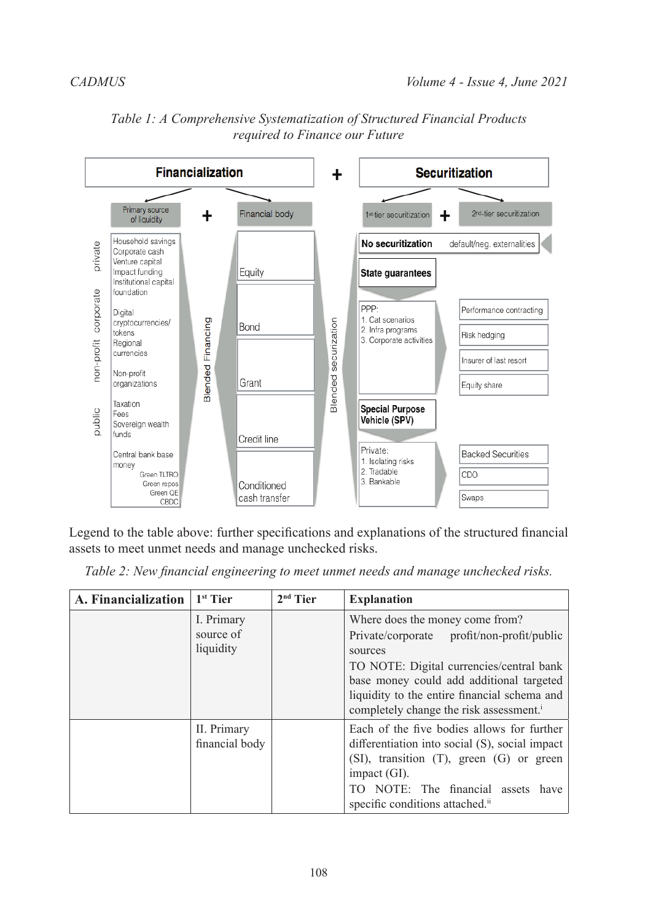

# *Table 1: A Comprehensive Systematization of Structured Financial Products required to Finance our Future*

Legend to the table above: further specifications and explanations of the structured financial assets to meet unmet needs and manage unchecked risks.

| A. Financialization | $1st$ Tier                           | $2nd$ Tier | <b>Explanation</b>                                                                                                                                                                                                                                                                      |
|---------------------|--------------------------------------|------------|-----------------------------------------------------------------------------------------------------------------------------------------------------------------------------------------------------------------------------------------------------------------------------------------|
|                     | I. Primary<br>source of<br>liquidity |            | Where does the money come from?<br>Private/corporate profit/non-profit/public<br>sources<br>TO NOTE: Digital currencies/central bank<br>base money could add additional targeted<br>liquidity to the entire financial schema and<br>completely change the risk assessment. <sup>i</sup> |
|                     | II. Primary<br>financial body        |            | Each of the five bodies allows for further<br>differentiation into social (S), social impact<br>$(SI)$ , transition $(T)$ , green $(G)$ or green<br>impact $(GI)$ .<br>TO NOTE: The financial assets have<br>specific conditions attached. <sup>ii</sup>                                |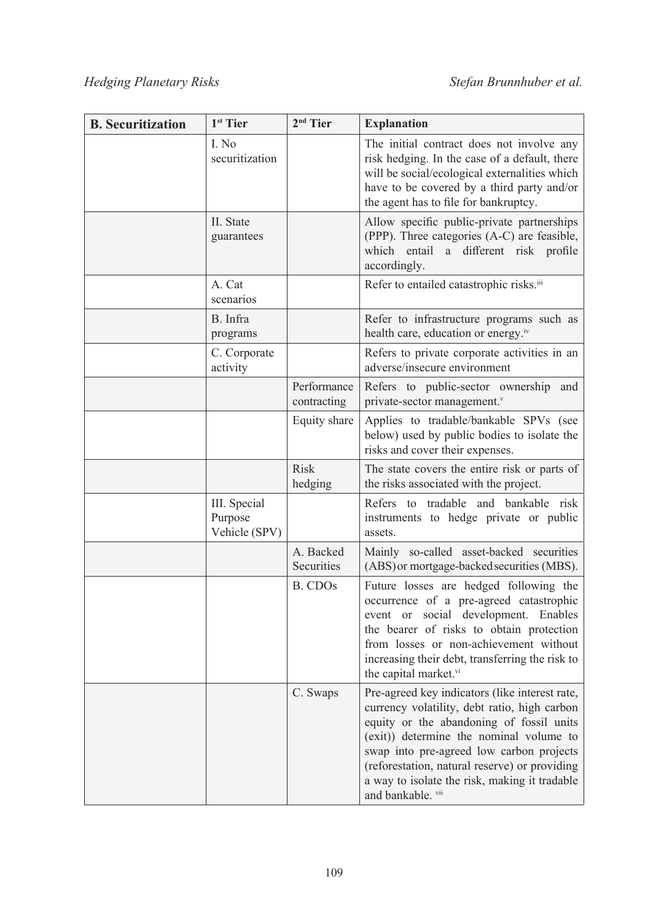| <b>B.</b> Securitization | 1 <sup>st</sup> Tier                     | $2nd$ Tier                 | <b>Explanation</b>                                                                                                                                                                                                                                                                                                                                       |
|--------------------------|------------------------------------------|----------------------------|----------------------------------------------------------------------------------------------------------------------------------------------------------------------------------------------------------------------------------------------------------------------------------------------------------------------------------------------------------|
|                          | I. No<br>securitization                  |                            | The initial contract does not involve any<br>risk hedging. In the case of a default, there<br>will be social/ecological externalities which<br>have to be covered by a third party and/or<br>the agent has to file for bankruptcy.                                                                                                                       |
|                          | II. State<br>guarantees                  |                            | Allow specific public-private partnerships<br>(PPP). Three categories (A-C) are feasible,<br>which entail a different risk profile<br>accordingly.                                                                                                                                                                                                       |
|                          | A. Cat<br>scenarios                      |                            | Refer to entailed catastrophic risks. <sup>iii</sup>                                                                                                                                                                                                                                                                                                     |
|                          | B. Infra<br>programs                     |                            | Refer to infrastructure programs such as<br>health care, education or energy.iv                                                                                                                                                                                                                                                                          |
|                          | C. Corporate<br>activity                 |                            | Refers to private corporate activities in an<br>adverse/insecure environment                                                                                                                                                                                                                                                                             |
|                          |                                          | Performance<br>contracting | Refers to public-sector ownership and<br>private-sector management. <sup>v</sup>                                                                                                                                                                                                                                                                         |
|                          |                                          | Equity share               | Applies to tradable/bankable SPVs (see<br>below) used by public bodies to isolate the<br>risks and cover their expenses.                                                                                                                                                                                                                                 |
|                          |                                          | <b>Risk</b><br>hedging     | The state covers the entire risk or parts of<br>the risks associated with the project.                                                                                                                                                                                                                                                                   |
|                          | III. Special<br>Purpose<br>Vehicle (SPV) |                            | tradable and bankable risk<br>Refers to<br>instruments to hedge private or public<br>assets.                                                                                                                                                                                                                                                             |
|                          |                                          | A. Backed<br>Securities    | Mainly so-called asset-backed securities<br>(ABS) or mortgage-backed securities (MBS).                                                                                                                                                                                                                                                                   |
|                          |                                          | B. CDO <sub>s</sub>        | Future losses are hedged following the<br>occurrence of a pre-agreed catastrophic<br>event or social development. Enables<br>the bearer of risks to obtain protection<br>from losses or non-achievement without<br>increasing their debt, transferring the risk to<br>the capital market.vi                                                              |
|                          |                                          | C. Swaps                   | Pre-agreed key indicators (like interest rate,<br>currency volatility, debt ratio, high carbon<br>equity or the abandoning of fossil units<br>(exit)) determine the nominal volume to<br>swap into pre-agreed low carbon projects<br>(reforestation, natural reserve) or providing<br>a way to isolate the risk, making it tradable<br>and bankable. vii |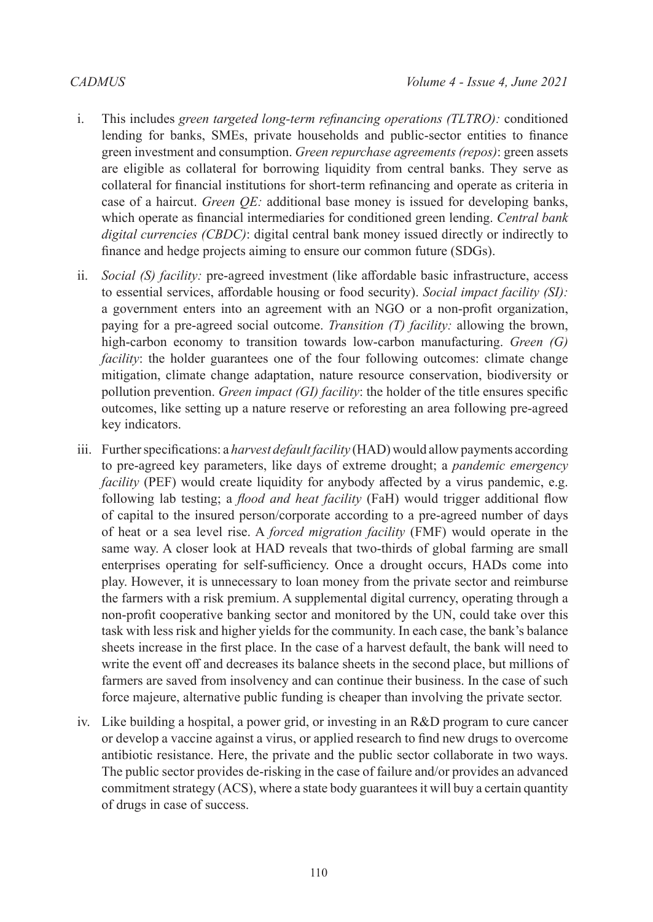- i. This includes *green targeted long-term refinancing operations (TLTRO):* conditioned lending for banks, SMEs, private households and public-sector entities to finance green investment and consumption. *Green repurchase agreements (repos)*: green assets are eligible as collateral for borrowing liquidity from central banks. They serve as collateral for financial institutions for short-term refinancing and operate as criteria in case of a haircut. *Green QE:* additional base money is issued for developing banks, which operate as financial intermediaries for conditioned green lending. *Central bank digital currencies (CBDC)*: digital central bank money issued directly or indirectly to finance and hedge projects aiming to ensure our common future (SDGs).
- ii. *Social (S) facility:* pre-agreed investment (like affordable basic infrastructure, access to essential services, affordable housing or food security). *Social impact facility (SI):*  a government enters into an agreement with an NGO or a non-profit organization, paying for a pre-agreed social outcome. *Transition (T) facility:* allowing the brown, high-carbon economy to transition towards low-carbon manufacturing. *Green (G) facility*: the holder guarantees one of the four following outcomes: climate change mitigation, climate change adaptation, nature resource conservation, biodiversity or pollution prevention. *Green impact (GI) facility*: the holder of the title ensures specific outcomes, like setting up a nature reserve or reforesting an area following pre-agreed key indicators.
- iii. Further specifications: a *harvest default facility* (HAD) would allow payments according to pre-agreed key parameters, like days of extreme drought; a *pandemic emergency facility* (PEF) would create liquidity for anybody affected by a virus pandemic, e.g. following lab testing; a *flood and heat facility* (FaH) would trigger additional flow of capital to the insured person/corporate according to a pre-agreed number of days of heat or a sea level rise. A *forced migration facility* (FMF) would operate in the same way. A closer look at HAD reveals that two-thirds of global farming are small enterprises operating for self-sufficiency. Once a drought occurs, HADs come into play. However, it is unnecessary to loan money from the private sector and reimburse the farmers with a risk premium. A supplemental digital currency, operating through a non-profit cooperative banking sector and monitored by the UN, could take over this task with less risk and higher yields for the community. In each case, the bank's balance sheets increase in the first place. In the case of a harvest default, the bank will need to write the event off and decreases its balance sheets in the second place, but millions of farmers are saved from insolvency and can continue their business. In the case of such force majeure, alternative public funding is cheaper than involving the private sector.
- iv. Like building a hospital, a power grid, or investing in an R&D program to cure cancer or develop a vaccine against a virus, or applied research to find new drugs to overcome antibiotic resistance. Here, the private and the public sector collaborate in two ways. The public sector provides de-risking in the case of failure and/or provides an advanced commitment strategy (ACS), where a state body guarantees it will buy a certain quantity of drugs in case of success.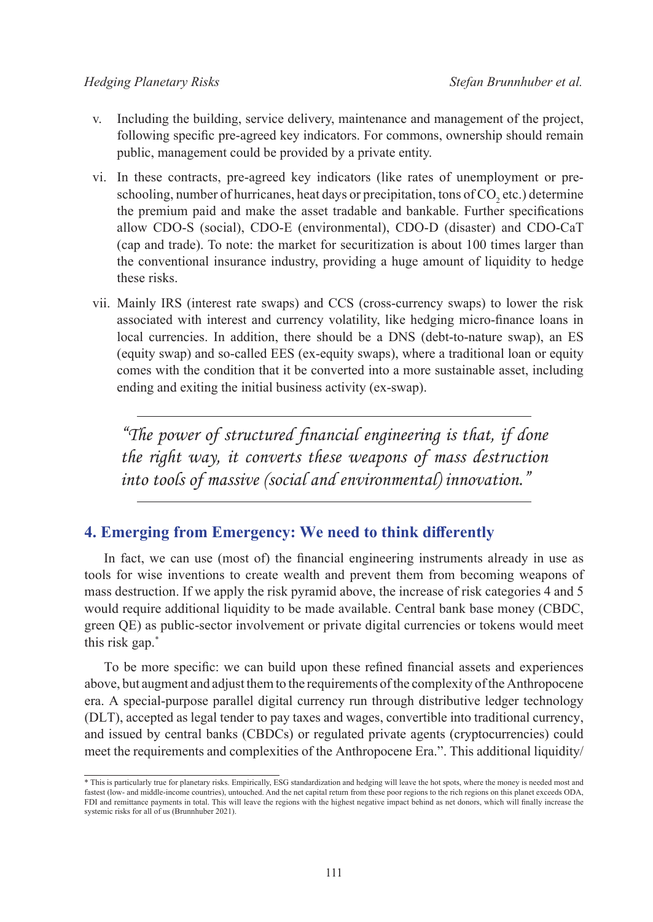- v. Including the building, service delivery, maintenance and management of the project, following specific pre-agreed key indicators. For commons, ownership should remain public, management could be provided by a private entity.
- vi. In these contracts, pre-agreed key indicators (like rates of unemployment or preschooling, number of hurricanes, heat days or precipitation, tons of CO<sub>2</sub> etc.) determine the premium paid and make the asset tradable and bankable. Further specifications allow CDO-S (social), CDO-E (environmental), CDO-D (disaster) and CDO-CaT (cap and trade). To note: the market for securitization is about 100 times larger than the conventional insurance industry, providing a huge amount of liquidity to hedge these risks.
- vii. Mainly IRS (interest rate swaps) and CCS (cross-currency swaps) to lower the risk associated with interest and currency volatility, like hedging micro-finance loans in local currencies. In addition, there should be a DNS (debt-to-nature swap), an ES (equity swap) and so-called EES (ex-equity swaps), where a traditional loan or equity comes with the condition that it be converted into a more sustainable asset, including ending and exiting the initial business activity (ex-swap).

*"The power of structured financial engineering is that, if done the right way, it converts these weapons of mass destruction into tools of massive (social and environmental) innovation."*

# **4. Emerging from Emergency: We need to think differently**

In fact, we can use (most of) the financial engineering instruments already in use as tools for wise inventions to create wealth and prevent them from becoming weapons of mass destruction. If we apply the risk pyramid above, the increase of risk categories 4 and 5 would require additional liquidity to be made available. Central bank base money (CBDC, green QE) as public-sector involvement or private digital currencies or tokens would meet this risk gap.\*

To be more specific: we can build upon these refined financial assets and experiences above, but augment and adjust them to the requirements of the complexity of the Anthropocene era. A special-purpose parallel digital currency run through distributive ledger technology (DLT), accepted as legal tender to pay taxes and wages, convertible into traditional currency, and issued by central banks (CBDCs) or regulated private agents (cryptocurrencies) could meet the requirements and complexities of the Anthropocene Era.". This additional liquidity/

<sup>\*</sup> This is particularly true for planetary risks. Empirically, ESG standardization and hedging will leave the hot spots, where the money is needed most and fastest (low- and middle-income countries), untouched. And the net capital return from these poor regions to the rich regions on this planet exceeds ODA, FDI and remittance payments in total. This will leave the regions with the highest negative impact behind as net donors, which will finally increase the systemic risks for all of us (Brunnhuber 2021).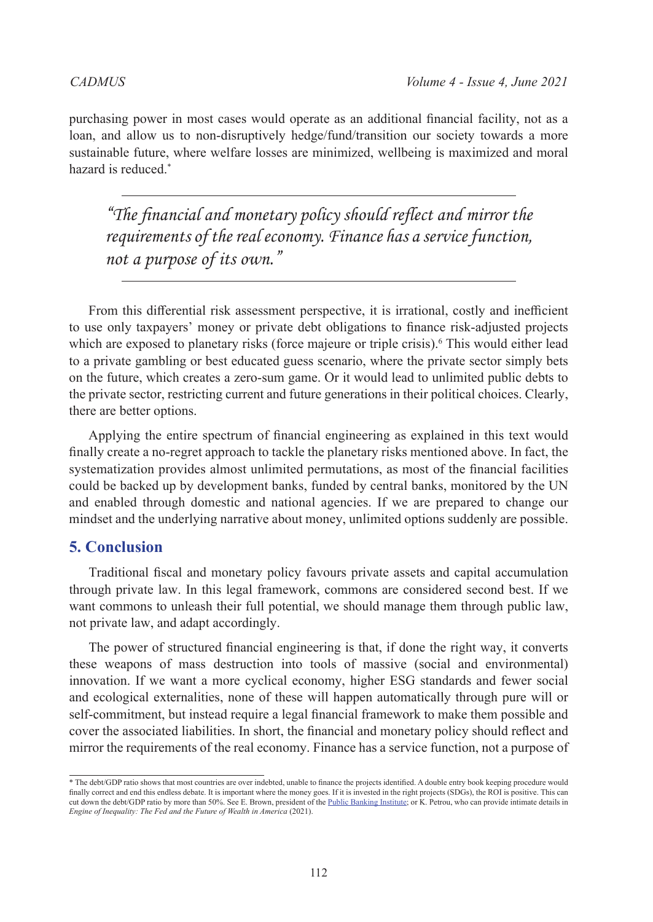purchasing power in most cases would operate as an additional financial facility, not as a loan, and allow us to non-disruptively hedge/fund/transition our society towards a more sustainable future, where welfare losses are minimized, wellbeing is maximized and moral hazard is reduced.\*

*"The financial and monetary policy should reflect and mirror the requirements of the real economy. Finance has a service function, not a purpose of its own."*

From this differential risk assessment perspective, it is irrational, costly and inefficient to use only taxpayers' money or private debt obligations to finance risk-adjusted projects which are exposed to planetary risks (force majeure or triple crisis). This would either lead to a private gambling or best educated guess scenario, where the private sector simply bets on the future, which creates a zero-sum game. Or it would lead to unlimited public debts to the private sector, restricting current and future generations in their political choices. Clearly, there are better options.

Applying the entire spectrum of financial engineering as explained in this text would finally create a no-regret approach to tackle the planetary risks mentioned above. In fact, the systematization provides almost unlimited permutations, as most of the financial facilities could be backed up by development banks, funded by central banks, monitored by the UN and enabled through domestic and national agencies. If we are prepared to change our mindset and the underlying narrative about money, unlimited options suddenly are possible.

# **5. Conclusion**

Traditional fiscal and monetary policy favours private assets and capital accumulation through private law. In this legal framework, commons are considered second best. If we want commons to unleash their full potential, we should manage them through public law, not private law, and adapt accordingly.

The power of structured financial engineering is that, if done the right way, it converts these weapons of mass destruction into tools of massive (social and environmental) innovation. If we want a more cyclical economy, higher ESG standards and fewer social and ecological externalities, none of these will happen automatically through pure will or self-commitment, but instead require a legal financial framework to make them possible and cover the associated liabilities. In short, the financial and monetary policy should reflect and mirror the requirements of the real economy. Finance has a service function, not a purpose of

<sup>\*</sup> The debt/GDP ratio shows that most countries are over indebted, unable to finance the projects identified. A double entry book keeping procedure would finally correct and end this endless debate. It is important where the money goes. If it is invested in the right projects (SDGs), the ROI is positive. This can cut down the debt/GDP ratio by more than 50%. See E. Brown, president of the [Public Banking Institute](http://www.publicbanking.org/); or K. Petrou, who can provide intimate details in *Engine of Inequality: The Fed and the Future of Wealth in America* (2021).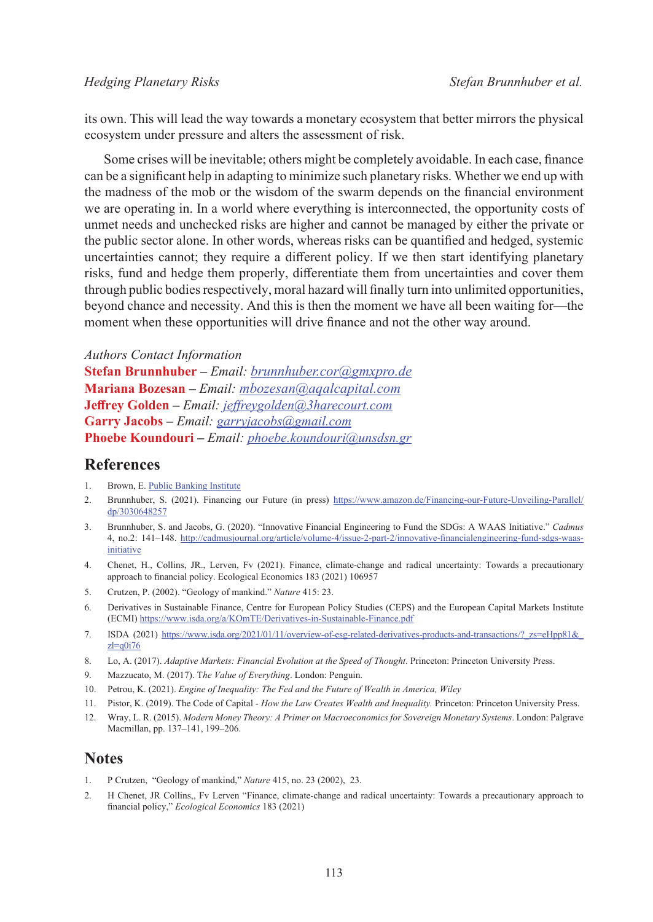its own. This will lead the way towards a monetary ecosystem that better mirrors the physical ecosystem under pressure and alters the assessment of risk.

Some crises will be inevitable; others might be completely avoidable. In each case, finance can be a significant help in adapting to minimize such planetary risks. Whether we end up with the madness of the mob or the wisdom of the swarm depends on the financial environment we are operating in. In a world where everything is interconnected, the opportunity costs of unmet needs and unchecked risks are higher and cannot be managed by either the private or the public sector alone. In other words, whereas risks can be quantified and hedged, systemic uncertainties cannot; they require a different policy. If we then start identifying planetary risks, fund and hedge them properly, differentiate them from uncertainties and cover them through public bodies respectively, moral hazard will finally turn into unlimited opportunities, beyond chance and necessity. And this is then the moment we have all been waiting for—the moment when these opportunities will drive finance and not the other way around.

*Authors Contact Information* **Stefan Brunnhuber –** *Email: [brunnhuber.cor@gmxpro.de](mailto:brunnhuber.cor@gmxpro.de)* **Mariana Bozesan –** *Email: [mbozesan@aqalcapital.com](mailto:mbozesan@aqalcapital.com)* **Jeffrey Golden –** *Email: [jeffreygolden@3harecourt.com](mailto:jeffreygolden@3harecourt.com)* **Garry Jacobs –** *Email: [garryjacobs@gmail.com](mailto:garryjacobs@gmail.com)* **Phoebe Koundouri –** *Email: phoebe.koundouri@unsdsn.gr*

## **References**

- 1. Brown, E. [Public Banking Institute](https://www.publicbankinginstitute.org/)
- 2. Brunnhuber, S. (2021). Financing our Future (in press) [https://www.amazon.de/Financing-our-Future-Unveiling-Parallel/](https://www.amazon.de/Financing-our-Future-Unveiling-Parallel/dp/3030648257) [dp/3030648257](https://www.amazon.de/Financing-our-Future-Unveiling-Parallel/dp/3030648257)
- 3. Brunnhuber, S. and Jacobs, G. (2020). "Innovative Financial Engineering to Fund the SDGs: A WAAS Initiative." *Cadmus* 4, no.2: 141–148. [http://cadmusjournal.org/article/volume-4/issue-2-part-2/innovative-financialengineering-fund-sdgs-waas](http://cadmusjournal.org/article/volume-4/issue-2-part-2/innovative-financialengineering-fund-sdgs-waas-initiative)[initiative](http://cadmusjournal.org/article/volume-4/issue-2-part-2/innovative-financialengineering-fund-sdgs-waas-initiative)
- 4. Chenet, H., Collins, JR., Lerven, Fv (2021). Finance, climate-change and radical uncertainty: Towards a precautionary approach to financial policy. Ecological Economics 183 (2021) 106957
- 5. Crutzen, P. (2002). "Geology of mankind." *Nature* 415: 23.
- 6. Derivatives in Sustainable Finance, Centre for European Policy Studies (CEPS) and the European Capital Markets Institute (ECMI)<https://www.isda.org/a/KOmTE/Derivatives-in-Sustainable-Finance.pdf>
- 7. ISDA (2021) [https://www.isda.org/2021/01/11/overview-of-esg-related-derivatives-products-and-transactions/?\\_zs=eHpp81&\\_](https://www.isda.org/2021/01/11/overview-of-esg-related-derivatives-products-and-transactions/?_zs=eHpp81&_zl=q0i76)  $z = q0i76$
- 8. Lo, A. (2017). *Adaptive Markets: Financial Evolution at the Speed of Thought*. Princeton: Princeton University Press.
- 9. Mazzucato, M. (2017). T*he Value of Everything*. London: Penguin.
- 10. Petrou, K. (2021). *Engine of Inequality: The Fed and the Future of Wealth in America, Wiley*
- 11. Pistor, K. (2019). The Code of Capital *How the Law Creates Wealth and Inequality.* Princeton: Princeton University Press.
- 12. Wray, L. R. (2015). *Modern Money Theory: A Primer on Macroeconomics for Sovereign Monetary Systems*. London: Palgrave Macmillan, pp. 137–141, 199–206.

#### **Notes**

- <span id="page-10-0"></span>1. P Crutzen, "Geology of mankind," *Nature* 415, no. 23 (2002), 23.
- <span id="page-10-1"></span>2. H Chenet, JR Collins,, Fv Lerven "Finance, climate-change and radical uncertainty: Towards a precautionary approach to financial policy," *Ecological Economics* 183 (2021)